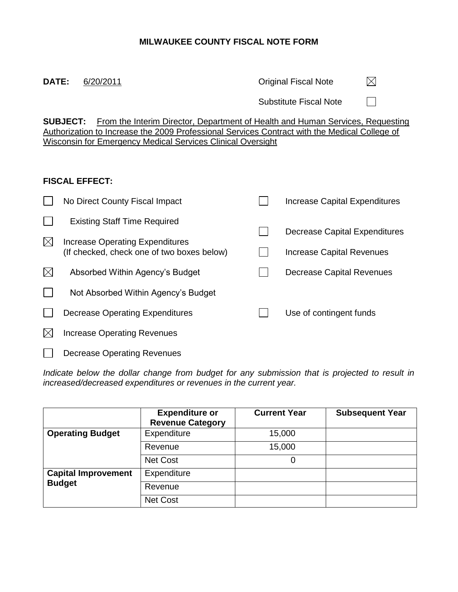# **MILWAUKEE COUNTY FISCAL NOTE FORM**

 $\boxtimes$ **DATE:** 6/20/2011 **DATE:** 6/20/2011

Substitute Fiscal Note

 $\Box$ 

**SUBJECT:** From the Interim Director, Department of Health and Human Services, Requesting Authorization to Increase the 2009 Professional Services Contract with the Medical College of Wisconsin for Emergency Medical Services Clinical Oversight

### **FISCAL EFFECT:**

|             | No Direct County Fiscal Impact             | <b>Increase Capital Expenditures</b> |
|-------------|--------------------------------------------|--------------------------------------|
|             | <b>Existing Staff Time Required</b>        |                                      |
| $\boxtimes$ | Increase Operating Expenditures            | Decrease Capital Expenditures        |
|             | (If checked, check one of two boxes below) | Increase Capital Revenues            |
| $\boxtimes$ | Absorbed Within Agency's Budget            | Decrease Capital Revenues            |
|             | Not Absorbed Within Agency's Budget        |                                      |
|             | Decrease Operating Expenditures            | Use of contingent funds              |
|             | <b>Increase Operating Revenues</b>         |                                      |
|             | Decrease Operating Revenues                |                                      |

*Indicate below the dollar change from budget for any submission that is projected to result in increased/decreased expenditures or revenues in the current year.*

|                            | <b>Expenditure or</b><br><b>Revenue Category</b> | <b>Current Year</b> | <b>Subsequent Year</b> |
|----------------------------|--------------------------------------------------|---------------------|------------------------|
| <b>Operating Budget</b>    | Expenditure                                      | 15,000              |                        |
|                            | Revenue                                          | 15,000              |                        |
|                            | <b>Net Cost</b>                                  | 0                   |                        |
| <b>Capital Improvement</b> | Expenditure                                      |                     |                        |
| <b>Budget</b>              | Revenue                                          |                     |                        |
|                            | <b>Net Cost</b>                                  |                     |                        |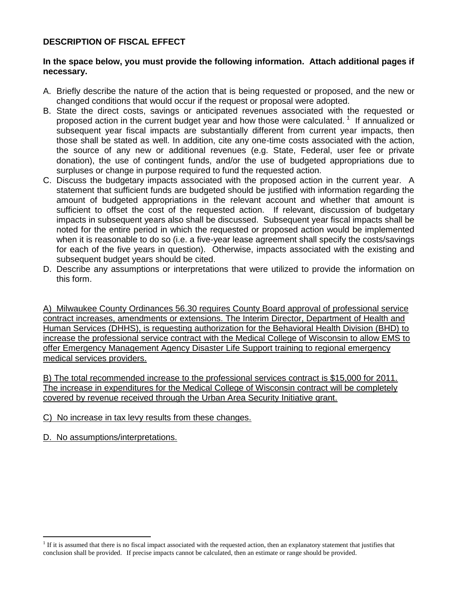## **DESCRIPTION OF FISCAL EFFECT**

#### **In the space below, you must provide the following information. Attach additional pages if necessary.**

- A. Briefly describe the nature of the action that is being requested or proposed, and the new or changed conditions that would occur if the request or proposal were adopted.
- B. State the direct costs, savings or anticipated revenues associated with the requested or proposed action in the current budget year and how those were calculated.<sup>1</sup> If annualized or subsequent year fiscal impacts are substantially different from current year impacts, then those shall be stated as well. In addition, cite any one-time costs associated with the action, the source of any new or additional revenues (e.g. State, Federal, user fee or private donation), the use of contingent funds, and/or the use of budgeted appropriations due to surpluses or change in purpose required to fund the requested action.
- C. Discuss the budgetary impacts associated with the proposed action in the current year. A statement that sufficient funds are budgeted should be justified with information regarding the amount of budgeted appropriations in the relevant account and whether that amount is sufficient to offset the cost of the requested action.If relevant, discussion of budgetary impacts in subsequent years also shall be discussed. Subsequent year fiscal impacts shall be noted for the entire period in which the requested or proposed action would be implemented when it is reasonable to do so (i.e. a five-year lease agreement shall specify the costs/savings for each of the five years in question). Otherwise, impacts associated with the existing and subsequent budget years should be cited.
- D. Describe any assumptions or interpretations that were utilized to provide the information on this form.

A) Milwaukee County Ordinances 56.30 requires County Board approval of professional service contract increases, amendments or extensions. The Interim Director, Department of Health and Human Services (DHHS), is requesting authorization for the Behavioral Health Division (BHD) to increase the professional service contract with the Medical College of Wisconsin to allow EMS to offer Emergency Management Agency Disaster Life Support training to regional emergency medical services providers.

B) The total recommended increase to the professional services contract is \$15,000 for 2011. The increase in expenditures for the Medical College of Wisconsin contract will be completely covered by revenue received through the Urban Area Security Initiative grant.

- C) No increase in tax levy results from these changes.
- D. No assumptions/interpretations.

 $\overline{a}$ 

<sup>&</sup>lt;sup>1</sup> If it is assumed that there is no fiscal impact associated with the requested action, then an explanatory statement that justifies that conclusion shall be provided.If precise impacts cannot be calculated, then an estimate or range should be provided.